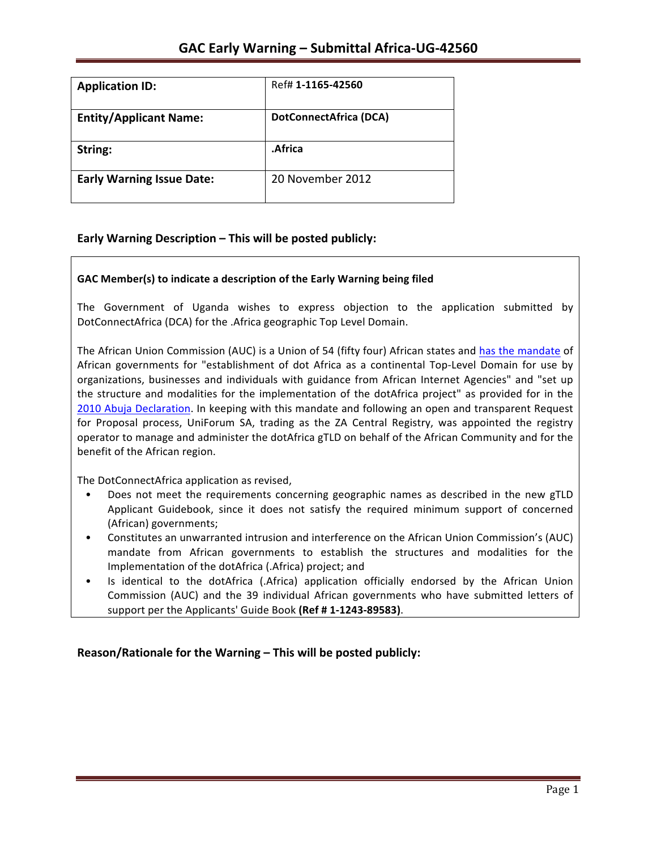| <b>Application ID:</b>           | Ref# 1-1165-42560             |
|----------------------------------|-------------------------------|
| <b>Entity/Applicant Name:</b>    | <b>DotConnectAfrica (DCA)</b> |
| String:                          | .Africa                       |
| <b>Early Warning Issue Date:</b> | 20 November 2012              |

## **Early Warning Description – This will be posted publicly:**

### GAC Member(s) to indicate a description of the Early Warning being filed

The Government of Uganda wishes to express objection to the application submitted by DotConnectAfrica (DCA) for the .Africa geographic Top Level Domain.

The African Union Commission (AUC) is a Union of 54 (fifty four) African states and has the mandate of African governments for "establishment of dot Africa as a continental Top-Level Domain for use by organizations, businesses and individuals with guidance from African Internet Agencies" and "set up the structure and modalities for the implementation of the dotAfrica project" as provided for in the 2010 Abuja Declaration. In keeping with this mandate and following an open and transparent Request for Proposal process, UniForum SA, trading as the ZA Central Registry, was appointed the registry operator to manage and administer the dotAfrica gTLD on behalf of the African Community and for the benefit of the African region.

The DotConnectAfrica application as revised,

- Does not meet the requirements concerning geographic names as described in the new gTLD Applicant Guidebook, since it does not satisfy the required minimum support of concerned (African) governments;
- Constitutes an unwarranted intrusion and interference on the African Union Commission's (AUC) mandate from African governments to establish the structures and modalities for the Implementation of the dotAfrica (.Africa) project; and
- Is identical to the dotAfrica (.Africa) application officially endorsed by the African Union Commission (AUC) and the 39 individual African governments who have submitted letters of support per the Applicants' Guide Book (Ref # 1-1243-89583).

**Reason/Rationale for the Warning – This will be posted publicly:**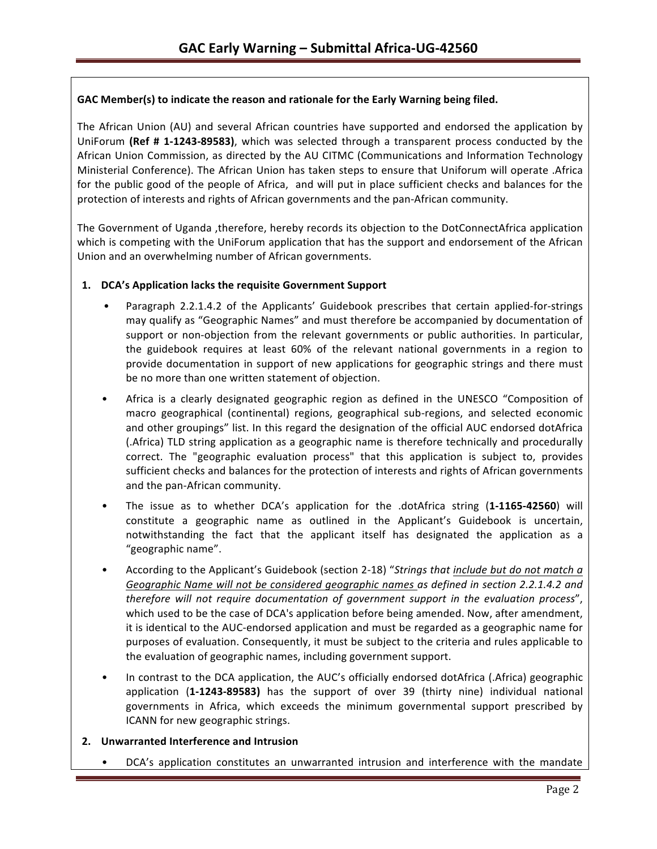### GAC Member(s) to indicate the reason and rationale for the Early Warning being filed.

The African Union (AU) and several African countries have supported and endorsed the application by UniForum (Ref # 1-1243-89583), which was selected through a transparent process conducted by the African Union Commission, as directed by the AU CITMC (Communications and Information Technology Ministerial Conference). The African Union has taken steps to ensure that Uniforum will operate .Africa for the public good of the people of Africa, and will put in place sufficient checks and balances for the protection of interests and rights of African governments and the pan-African community.

The Government of Uganda ,therefore, hereby records its objection to the DotConnectAfrica application which is competing with the UniForum application that has the support and endorsement of the African Union and an overwhelming number of African governments.

### 1. **DCA's Application lacks the requisite Government Support**

- Paragraph 2.2.1.4.2 of the Applicants' Guidebook prescribes that certain applied-for-strings may qualify as "Geographic Names" and must therefore be accompanied by documentation of support or non-objection from the relevant governments or public authorities. In particular, the guidebook requires at least 60% of the relevant national governments in a region to provide documentation in support of new applications for geographic strings and there must be no more than one written statement of objection.
- Africa is a clearly designated geographic region as defined in the UNESCO "Composition of macro geographical (continental) regions, geographical sub-regions, and selected economic and other groupings" list. In this regard the designation of the official AUC endorsed dotAfrica (.Africa) TLD string application as a geographic name is therefore technically and procedurally correct. The "geographic evaluation process" that this application is subject to, provides sufficient checks and balances for the protection of interests and rights of African governments and the pan-African community.
- The issue as to whether DCA's application for the .dotAfrica string (1-1165-42560) will constitute a geographic name as outlined in the Applicant's Guidebook is uncertain, notwithstanding the fact that the applicant itself has designated the application as a "geographic name".
- According to the Applicant's Guidebook (section 2-18) "Strings that *include but do not match a* Geographic Name will not be considered geographic names as defined in section 2.2.1.4.2 and *therefore will not require documentation of government support in the evaluation process"*, which used to be the case of DCA's application before being amended. Now, after amendment, it is identical to the AUC-endorsed application and must be regarded as a geographic name for purposes of evaluation. Consequently, it must be subject to the criteria and rules applicable to the evaluation of geographic names, including government support.
- In contrast to the DCA application, the AUC's officially endorsed dotAfrica (.Africa) geographic application (1-1243-89583) has the support of over 39 (thirty nine) individual national governments in Africa, which exceeds the minimum governmental support prescribed by ICANN for new geographic strings.

### **2. Unwarranted Interference and Intrusion**

DCA's application constitutes an unwarranted intrusion and interference with the mandate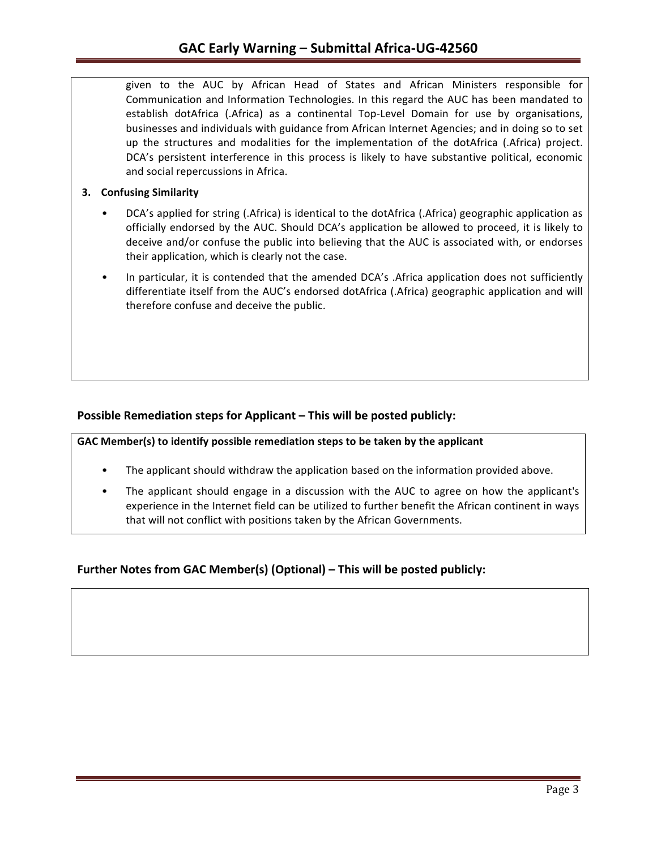given to the AUC by African Head of States and African Ministers responsible for Communication and Information Technologies. In this regard the AUC has been mandated to establish dotAfrica (.Africa) as a continental Top-Level Domain for use by organisations, businesses and individuals with guidance from African Internet Agencies; and in doing so to set up the structures and modalities for the implementation of the dotAfrica (.Africa) project. DCA's persistent interference in this process is likely to have substantive political, economic and social repercussions in Africa.

### **3. Confusing Similarity**

- DCA's applied for string (.Africa) is identical to the dotAfrica (.Africa) geographic application as officially endorsed by the AUC. Should DCA's application be allowed to proceed, it is likely to deceive and/or confuse the public into believing that the AUC is associated with, or endorses their application, which is clearly not the case.
- In particular, it is contended that the amended DCA's . Africa application does not sufficiently differentiate itself from the AUC's endorsed dotAfrica (.Africa) geographic application and will therefore confuse and deceive the public.

## **Possible Remediation steps for Applicant – This will be posted publicly:**

GAC Member(s) to identify possible remediation steps to be taken by the applicant

- The applicant should withdraw the application based on the information provided above.
- The applicant should engage in a discussion with the AUC to agree on how the applicant's experience in the Internet field can be utilized to further benefit the African continent in ways that will not conflict with positions taken by the African Governments.

# **Further Notes from GAC Member(s) (Optional) – This will be posted publicly:**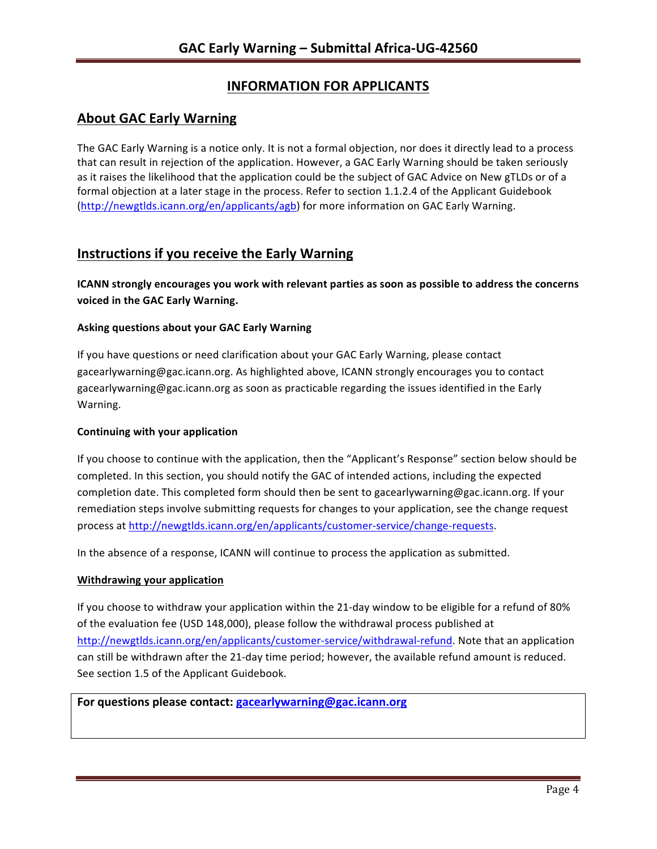# **INFORMATION FOR APPLICANTS**

# **About GAC Early Warning**

The GAC Early Warning is a notice only. It is not a formal objection, nor does it directly lead to a process that can result in rejection of the application. However, a GAC Early Warning should be taken seriously as it raises the likelihood that the application could be the subject of GAC Advice on New gTLDs or of a formal objection at a later stage in the process. Refer to section 1.1.2.4 of the Applicant Guidebook (http://newgtlds.icann.org/en/applicants/agb) for more information on GAC Early Warning.

# **Instructions if you receive the Early Warning**

**ICANN** strongly encourages you work with relevant parties as soon as possible to address the concerns **voiced in the GAC Early Warning.** 

### **Asking questions about your GAC Early Warning**

If you have questions or need clarification about your GAC Early Warning, please contact gacearlywarning@gac.icann.org. As highlighted above, ICANN strongly encourages you to contact gacearlywarning@gac.icann.org as soon as practicable regarding the issues identified in the Early Warning. 

### **Continuing with your application**

If you choose to continue with the application, then the "Applicant's Response" section below should be completed. In this section, you should notify the GAC of intended actions, including the expected completion date. This completed form should then be sent to gacearlywarning@gac.icann.org. If your remediation steps involve submitting requests for changes to your application, see the change request process at http://newgtlds.icann.org/en/applicants/customer-service/change-requests.

In the absence of a response, ICANN will continue to process the application as submitted.

### **Withdrawing your application**

If you choose to withdraw your application within the 21-day window to be eligible for a refund of 80% of the evaluation fee (USD 148,000), please follow the withdrawal process published at http://newgtlds.icann.org/en/applicants/customer-service/withdrawal-refund. Note that an application can still be withdrawn after the 21-day time period; however, the available refund amount is reduced. See section 1.5 of the Applicant Guidebook.

## For questions please contact: gacearlywarning@gac.icann.org